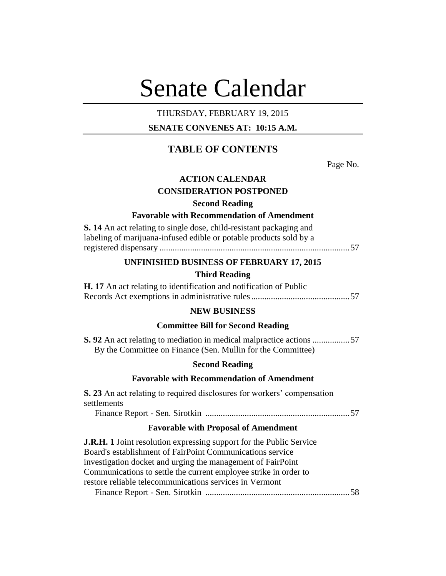# Senate Calendar

# THURSDAY, FEBRUARY 19, 2015

# **SENATE CONVENES AT: 10:15 A.M.**

# **TABLE OF CONTENTS**

Page No.

# **ACTION CALENDAR**

## **CONSIDERATION POSTPONED**

# **Second Reading**

# **Favorable with Recommendation of Amendment**

| S. 14 An act relating to single dose, child-resistant packaging and |
|---------------------------------------------------------------------|
| labeling of marijuana-infused edible or potable products sold by a  |
|                                                                     |

## **UNFINISHED BUSINESS OF FEBRUARY 17, 2015**

# **Third Reading**

**H. 17** An act relating to identification and notification of Public Records Act exemptions in administrative rules.............................................57

## **NEW BUSINESS**

# **Committee Bill for Second Reading**

**S. 92** An act relating to mediation in medical malpractice actions .................57 By the Committee on Finance (Sen. Mullin for the Committee)

# **Second Reading**

# **Favorable with Recommendation of Amendment**

**S. 23** An act relating to required disclosures for workers' compensation settlements

Finance Report - Sen. Sirotkin ..................................................................57

# **Favorable with Proposal of Amendment**

**J.R.H. 1** Joint resolution expressing support for the Public Service Board's establishment of FairPoint Communications service investigation docket and urging the management of FairPoint Communications to settle the current employee strike in order to restore reliable telecommunications services in Vermont Finance Report - Sen. Sirotkin ..................................................................58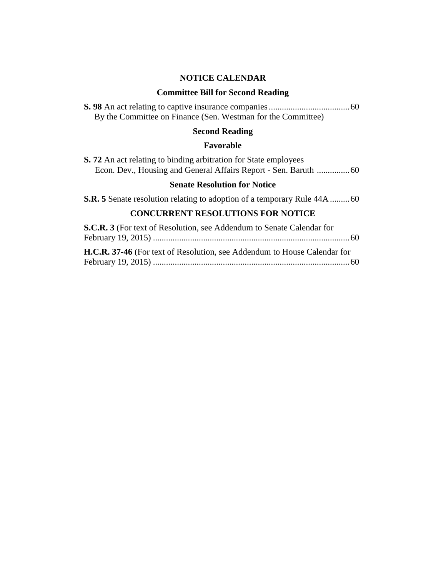# **NOTICE CALENDAR**

# **Committee Bill for Second Reading**

| By the Committee on Finance (Sen. Westman for the Committee) |  |
|--------------------------------------------------------------|--|

# **Second Reading**

# **Favorable**

|  |  |  | <b>S.</b> 72 An act relating to binding arbitration for State employees |  |  |  |
|--|--|--|-------------------------------------------------------------------------|--|--|--|
|  |  |  |                                                                         |  |  |  |

# **Senate Resolution for Notice**

**S.R. 5** Senate resolution relating to adoption of a temporary Rule 44A .........60

# **CONCURRENT RESOLUTIONS FOR NOTICE**

| <b>S.C.R. 3</b> (For text of Resolution, see Addendum to Senate Calendar for |  |
|------------------------------------------------------------------------------|--|
|                                                                              |  |
| H.C.R. 37-46 (For text of Resolution, see Addendum to House Calendar for     |  |
|                                                                              |  |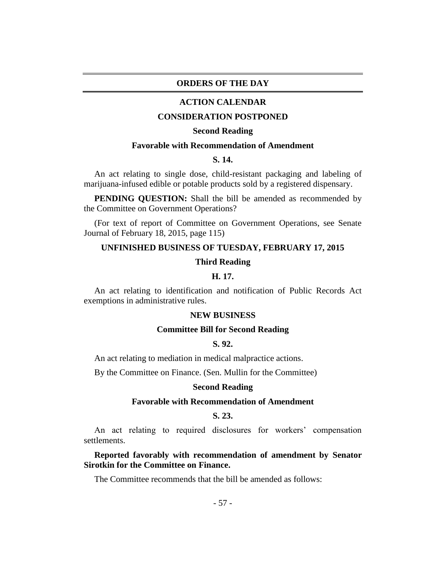## **ORDERS OF THE DAY**

#### **ACTION CALENDAR**

#### **CONSIDERATION POSTPONED**

#### **Second Reading**

# **Favorable with Recommendation of Amendment**

# **S. 14.**

An act relating to single dose, child-resistant packaging and labeling of marijuana-infused edible or potable products sold by a registered dispensary.

**PENDING QUESTION:** Shall the bill be amended as recommended by the Committee on Government Operations?

(For text of report of Committee on Government Operations, see Senate Journal of February 18, 2015, page 115)

#### **UNFINISHED BUSINESS OF TUESDAY, FEBRUARY 17, 2015**

#### **Third Reading**

# **H. 17.**

An act relating to identification and notification of Public Records Act exemptions in administrative rules.

#### **NEW BUSINESS**

## **Committee Bill for Second Reading**

# **S. 92.**

An act relating to mediation in medical malpractice actions.

By the Committee on Finance. (Sen. Mullin for the Committee)

#### **Second Reading**

# **Favorable with Recommendation of Amendment**

# **S. 23.**

An act relating to required disclosures for workers' compensation settlements.

**Reported favorably with recommendation of amendment by Senator Sirotkin for the Committee on Finance.**

The Committee recommends that the bill be amended as follows: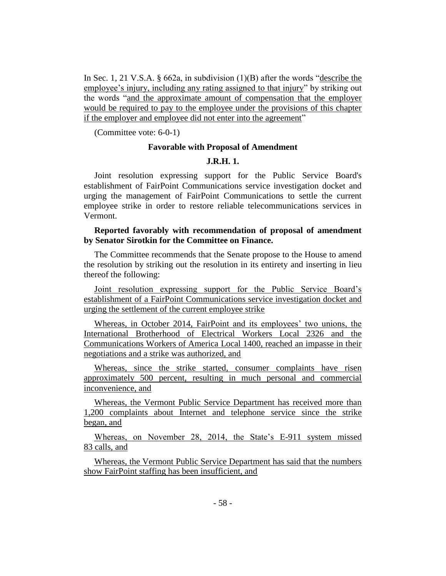In Sec. 1, 21 V.S.A. § 662a, in subdivision (1)(B) after the words "describe the employee's injury, including any rating assigned to that injury" by striking out the words "and the approximate amount of compensation that the employer would be required to pay to the employee under the provisions of this chapter if the employer and employee did not enter into the agreement"

(Committee vote: 6-0-1)

## **Favorable with Proposal of Amendment**

# **J.R.H. 1.**

Joint resolution expressing support for the Public Service Board's establishment of FairPoint Communications service investigation docket and urging the management of FairPoint Communications to settle the current employee strike in order to restore reliable telecommunications services in Vermont.

# **Reported favorably with recommendation of proposal of amendment by Senator Sirotkin for the Committee on Finance.**

The Committee recommends that the Senate propose to the House to amend the resolution by striking out the resolution in its entirety and inserting in lieu thereof the following:

Joint resolution expressing support for the Public Service Board's establishment of a FairPoint Communications service investigation docket and urging the settlement of the current employee strike

Whereas, in October 2014, FairPoint and its employees' two unions, the International Brotherhood of Electrical Workers Local 2326 and the Communications Workers of America Local 1400, reached an impasse in their negotiations and a strike was authorized, and

Whereas, since the strike started, consumer complaints have risen approximately 500 percent, resulting in much personal and commercial inconvenience, and

Whereas, the Vermont Public Service Department has received more than 1,200 complaints about Internet and telephone service since the strike began, and

Whereas, on November 28, 2014, the State's E-911 system missed 83 calls, and

Whereas, the Vermont Public Service Department has said that the numbers show FairPoint staffing has been insufficient, and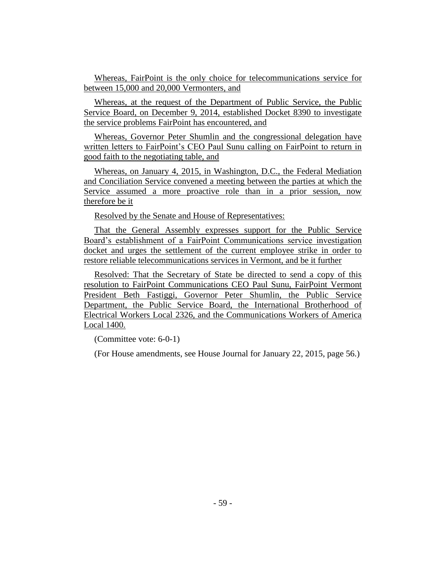Whereas, FairPoint is the only choice for telecommunications service for between 15,000 and 20,000 Vermonters, and

Whereas, at the request of the Department of Public Service, the Public Service Board, on December 9, 2014, established Docket 8390 to investigate the service problems FairPoint has encountered, and

Whereas, Governor Peter Shumlin and the congressional delegation have written letters to FairPoint's CEO Paul Sunu calling on FairPoint to return in good faith to the negotiating table, and

Whereas, on January 4, 2015, in Washington, D.C., the Federal Mediation and Conciliation Service convened a meeting between the parties at which the Service assumed a more proactive role than in a prior session, now therefore be it

Resolved by the Senate and House of Representatives:

That the General Assembly expresses support for the Public Service Board's establishment of a FairPoint Communications service investigation docket and urges the settlement of the current employee strike in order to restore reliable telecommunications services in Vermont, and be it further

Resolved: That the Secretary of State be directed to send a copy of this resolution to FairPoint Communications CEO Paul Sunu, FairPoint Vermont President Beth Fastiggi, Governor Peter Shumlin, the Public Service Department, the Public Service Board, the International Brotherhood of Electrical Workers Local 2326, and the Communications Workers of America Local 1400.

(Committee vote: 6-0-1)

(For House amendments, see House Journal for January 22, 2015, page 56.)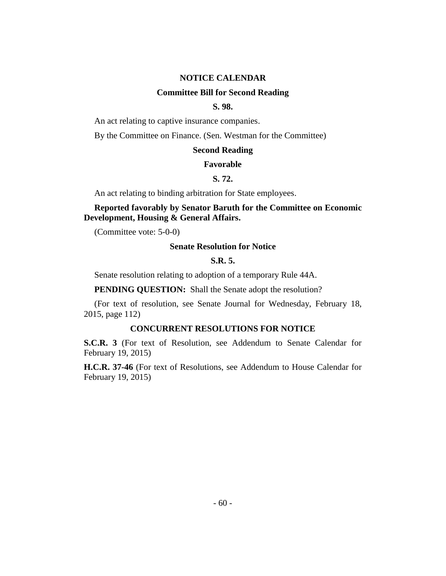#### **NOTICE CALENDAR**

## **Committee Bill for Second Reading**

# **S. 98.**

An act relating to captive insurance companies.

By the Committee on Finance. (Sen. Westman for the Committee)

## **Second Reading**

#### **Favorable**

# **S. 72.**

An act relating to binding arbitration for State employees.

# **Reported favorably by Senator Baruth for the Committee on Economic Development, Housing & General Affairs.**

(Committee vote: 5-0-0)

#### **Senate Resolution for Notice**

# **S.R. 5.**

Senate resolution relating to adoption of a temporary Rule 44A.

**PENDING QUESTION:** Shall the Senate adopt the resolution?

(For text of resolution, see Senate Journal for Wednesday, February 18, 2015, page 112)

# **CONCURRENT RESOLUTIONS FOR NOTICE**

**S.C.R. 3** (For text of Resolution, see Addendum to Senate Calendar for February 19, 2015)

**H.C.R. 37-46** (For text of Resolutions, see Addendum to House Calendar for February 19, 2015)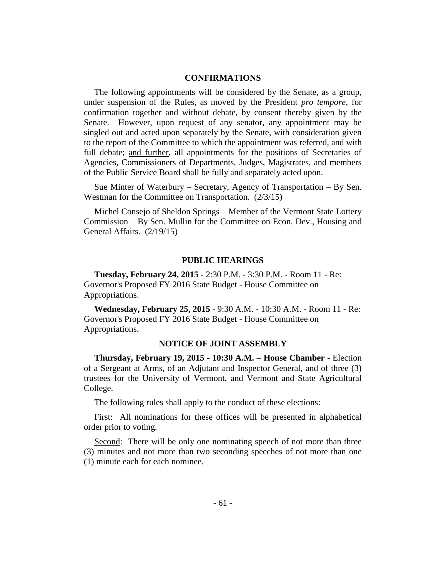# **CONFIRMATIONS**

The following appointments will be considered by the Senate, as a group, under suspension of the Rules, as moved by the President *pro tempore,* for confirmation together and without debate, by consent thereby given by the Senate. However, upon request of any senator, any appointment may be singled out and acted upon separately by the Senate, with consideration given to the report of the Committee to which the appointment was referred, and with full debate; and further, all appointments for the positions of Secretaries of Agencies, Commissioners of Departments, Judges, Magistrates, and members of the Public Service Board shall be fully and separately acted upon.

Sue Minter of Waterbury – Secretary, Agency of Transportation – By Sen. Westman for the Committee on Transportation. (2/3/15)

Michel Consejo of Sheldon Springs – Member of the Vermont State Lottery Commission – By Sen. Mullin for the Committee on Econ. Dev., Housing and General Affairs. (2/19/15)

# **PUBLIC HEARINGS**

**Tuesday, February 24, 2015** - 2:30 P.M. - 3:30 P.M. - Room 11 - Re: Governor's Proposed FY 2016 State Budget - House Committee on Appropriations.

**Wednesday, February 25, 2015** - 9:30 A.M. - 10:30 A.M. - Room 11 - Re: Governor's Proposed FY 2016 State Budget - House Committee on Appropriations.

#### **NOTICE OF JOINT ASSEMBLY**

**Thursday, February 19, 2015 - 10:30 A.M.** – **House Chamber -** Election of a Sergeant at Arms, of an Adjutant and Inspector General, and of three (3) trustees for the University of Vermont, and Vermont and State Agricultural College.

The following rules shall apply to the conduct of these elections:

First: All nominations for these offices will be presented in alphabetical order prior to voting.

Second: There will be only one nominating speech of not more than three (3) minutes and not more than two seconding speeches of not more than one (1) minute each for each nominee.